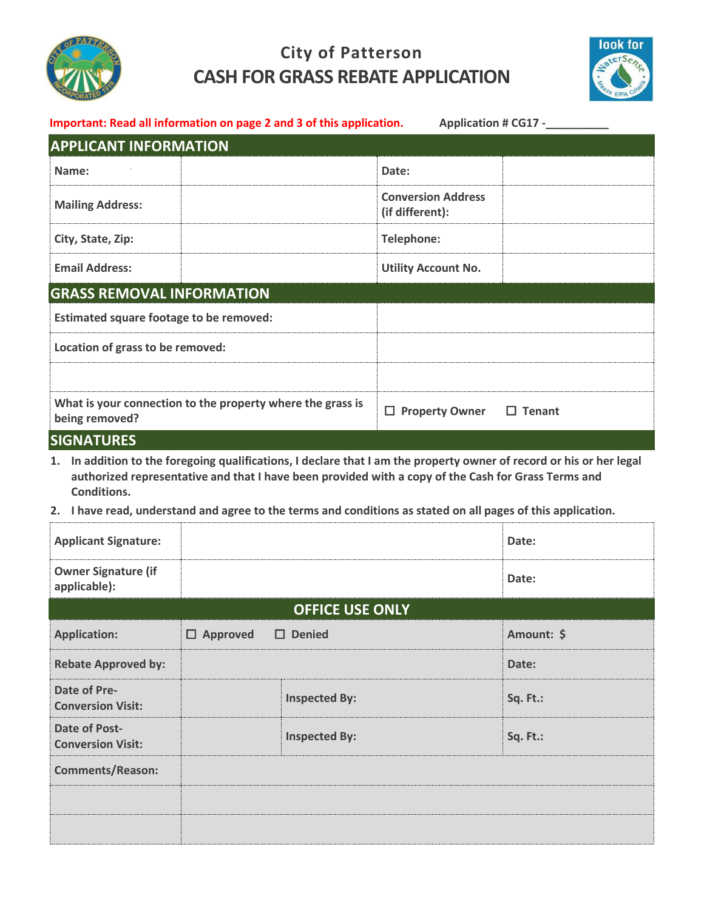

## **City of Patterson CASH FOR GRASS REBATE APPLICATION**



| Important: Read all information on page 2 and 3 of this application.<br><b>Application # CG17 -</b> |                                                                                                                                                                                                                                                                                                                                             |                                              |               |            |  |  |
|-----------------------------------------------------------------------------------------------------|---------------------------------------------------------------------------------------------------------------------------------------------------------------------------------------------------------------------------------------------------------------------------------------------------------------------------------------------|----------------------------------------------|---------------|------------|--|--|
| <b>APPLICANT INFORMATION</b>                                                                        |                                                                                                                                                                                                                                                                                                                                             |                                              |               |            |  |  |
| Name:                                                                                               |                                                                                                                                                                                                                                                                                                                                             | Date:                                        |               |            |  |  |
| <b>Mailing Address:</b>                                                                             |                                                                                                                                                                                                                                                                                                                                             | <b>Conversion Address</b><br>(if different): |               |            |  |  |
| City, State, Zip:                                                                                   |                                                                                                                                                                                                                                                                                                                                             | <b>Telephone:</b>                            |               |            |  |  |
| <b>Email Address:</b>                                                                               |                                                                                                                                                                                                                                                                                                                                             | <b>Utility Account No.</b>                   |               |            |  |  |
| <b>GRASS REMOVAL INFORMATION</b>                                                                    |                                                                                                                                                                                                                                                                                                                                             |                                              |               |            |  |  |
| <b>Estimated square footage to be removed:</b>                                                      |                                                                                                                                                                                                                                                                                                                                             |                                              |               |            |  |  |
| Location of grass to be removed:                                                                    |                                                                                                                                                                                                                                                                                                                                             |                                              |               |            |  |  |
|                                                                                                     |                                                                                                                                                                                                                                                                                                                                             |                                              |               |            |  |  |
| What is your connection to the property where the grass is<br>being removed?                        | $\Box$ Property Owner                                                                                                                                                                                                                                                                                                                       |                                              | $\Box$ Tenant |            |  |  |
| <b>SIGNATURES</b>                                                                                   |                                                                                                                                                                                                                                                                                                                                             |                                              |               |            |  |  |
| Conditions.                                                                                         | 1. In addition to the foregoing qualifications, I declare that I am the property owner of record or his or her legal<br>authorized representative and that I have been provided with a copy of the Cash for Grass Terms and<br>2. I have read, understand and agree to the terms and conditions as stated on all pages of this application. |                                              |               |            |  |  |
| <b>Applicant Signature:</b>                                                                         |                                                                                                                                                                                                                                                                                                                                             |                                              |               | Date:      |  |  |
|                                                                                                     |                                                                                                                                                                                                                                                                                                                                             |                                              |               |            |  |  |
| <b>Owner Signature (if</b><br>applicable):                                                          |                                                                                                                                                                                                                                                                                                                                             |                                              |               | Date:      |  |  |
| <b>OFFICE USE ONLY</b>                                                                              |                                                                                                                                                                                                                                                                                                                                             |                                              |               |            |  |  |
| <b>Application:</b>                                                                                 | $\Box$ Approved<br>$\square$ Denied                                                                                                                                                                                                                                                                                                         |                                              |               | Amount: \$ |  |  |
| <b>Rebate Approved by:</b>                                                                          |                                                                                                                                                                                                                                                                                                                                             |                                              |               | Date:      |  |  |
| Date of Pre-<br><b>Conversion Visit:</b>                                                            | <b>Inspected By:</b>                                                                                                                                                                                                                                                                                                                        |                                              | Sq. Ft.:      |            |  |  |
| <b>Date of Post-</b><br><b>Conversion Visit:</b>                                                    | <b>Inspected By:</b>                                                                                                                                                                                                                                                                                                                        |                                              |               | Sq. Ft.:   |  |  |
| <b>Comments/Reason:</b>                                                                             |                                                                                                                                                                                                                                                                                                                                             |                                              |               |            |  |  |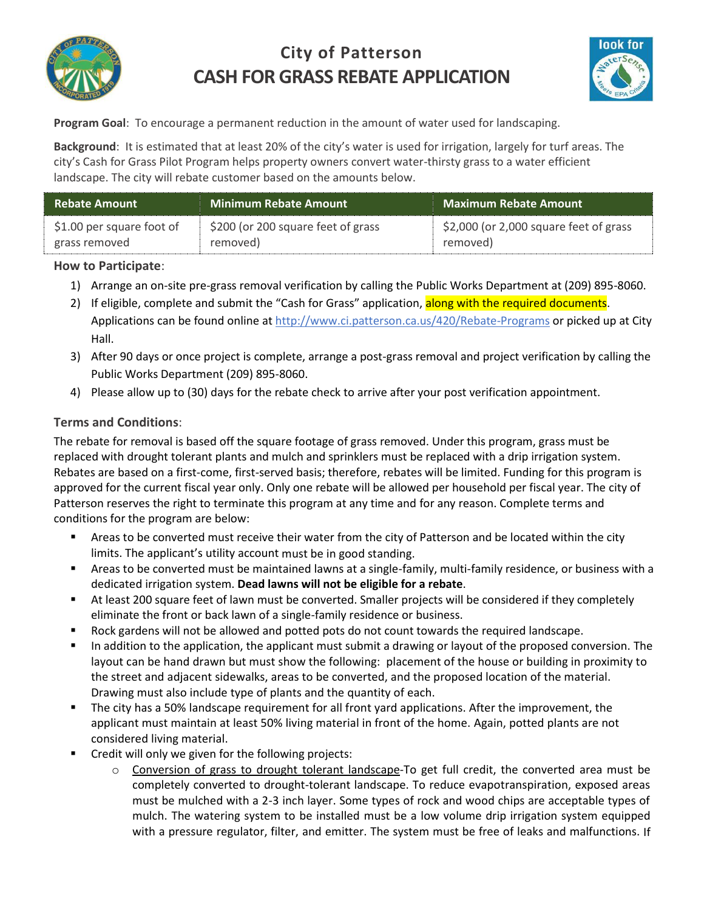

# **City of Patterson CASH FOR GRASS REBATE APPLICATION**



**Program Goal**: To encourage a permanent reduction in the amount of water used for landscaping.

**Background**: It is estimated that at least 20% of the city's water is used for irrigation, largely for turf areas. The city's Cash for Grass Pilot Program helps property owners convert water-thirsty grass to a water efficient landscape. The city will rebate customer based on the amounts below.

| <b>Rebate Amount</b>      | <b>Minimum Rebate Amount</b>       | <b>Maximum Rebate Amount</b>           |  |
|---------------------------|------------------------------------|----------------------------------------|--|
| \$1.00 per square foot of | \$200 (or 200 square feet of grass | \$2,000 (or 2,000 square feet of grass |  |
| grass removed             | removed)                           | removed)                               |  |

#### **How to Participate**:

- 1) Arrange an on-site pre-grass removal verification by calling the Public Works Department at (209) 895-8060.
- 2) If eligible, complete and submit the "Cash for Grass" application, along with the required documents. Applications can be found online at http://www.ci.patterson.ca.us/420/Rebate-Programs or picked up at City Hall.
- 3) After 90 days or once project is complete, arrange a post-grass removal and project verification by calling the Public Works Department (209) 895-8060.
- 4) Please allow up to (30) days for the rebate check to arrive after your post verification appointment.

### **Terms and Conditions**:

The rebate for removal is based off the square footage of grass removed. Under this program, grass must be replaced with drought tolerant plants and mulch and sprinklers must be replaced with a drip irrigation system. Rebates are based on a first-come, first-served basis; therefore, rebates will be limited. Funding for this program is approved for the current fiscal year only. Only one rebate will be allowed per household per fiscal year. The city of Patterson reserves the right to terminate this program at any time and for any reason. Complete terms and conditions for the program are below:

- Areas to be converted must receive their water from the city of Patterson and be located within the city limits. The applicant's utility account must be in good standing.
- Areas to be converted must be maintained lawns at a single-family, multi-family residence, or business with a dedicated irrigation system. **Dead lawns will not be eligible for a rebate**.
- At least 200 square feet of lawn must be converted. Smaller projects will be considered if they completely eliminate the front or back lawn of a single-family residence or business.
- **Rock gardens will not be allowed and potted pots do not count towards the required landscape.**
- In addition to the application, the applicant must submit a drawing or layout of the proposed conversion. The layout can be hand drawn but must show the following: placement of the house or building in proximity to the street and adjacent sidewalks, areas to be converted, and the proposed location of the material. Drawing must also include type of plants and the quantity of each.
- The city has a 50% landscape requirement for all front yard applications. After the improvement, the applicant must maintain at least 50% living material in front of the home. Again, potted plants are not considered living material.
- **EXECT** Credit will only we given for the following projects:
	- o Conversion of grass to drought tolerant landscape-To get full credit, the converted area must be completely converted to drought-tolerant landscape. To reduce evapotranspiration, exposed areas must be mulched with a 2-3 inch layer. Some types of rock and wood chips are acceptable types of mulch. The watering system to be installed must be a low volume drip irrigation system equipped with a pressure regulator, filter, and emitter. The system must be free of leaks and malfunctions. If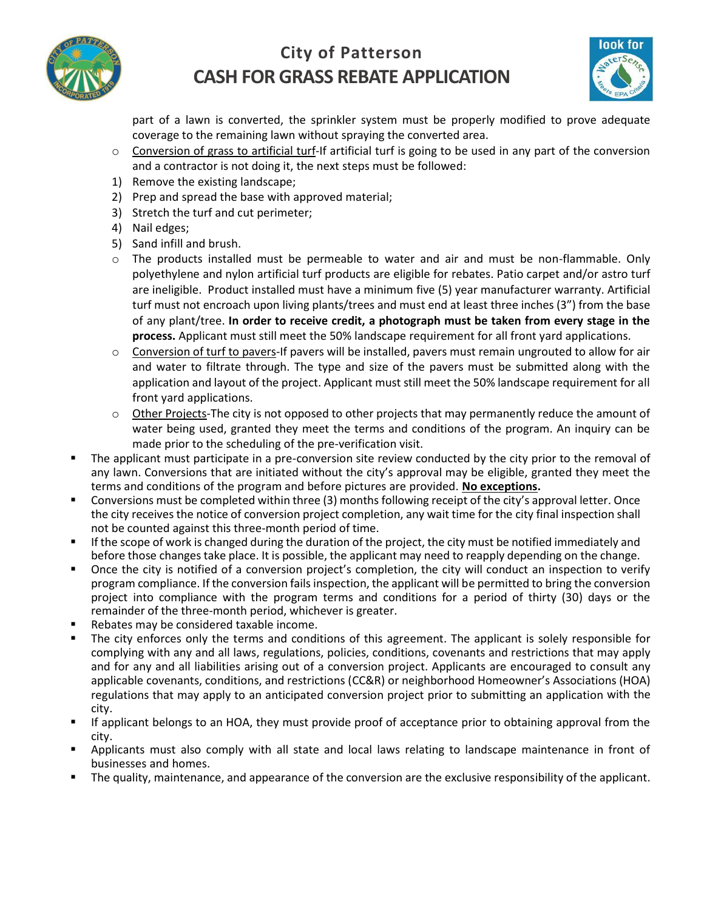

### **City of Patterson CASH FOR GRASS REBATE APPLICATION**



part of a lawn is converted, the sprinkler system must be properly modified to prove adequate coverage to the remaining lawn without spraying the converted area.

- $\circ$  Conversion of grass to artificial turf-If artificial turf is going to be used in any part of the conversion and a contractor is not doing it, the next steps must be followed:
- 1) Remove the existing landscape;
- 2) Prep and spread the base with approved material;
- 3) Stretch the turf and cut perimeter;
- 4) Nail edges;
- 5) Sand infill and brush.
- o The products installed must be permeable to water and air and must be non-flammable. Only polyethylene and nylon artificial turf products are eligible for rebates. Patio carpet and/or astro turf are ineligible. Product installed must have a minimum five (5) year manufacturer warranty. Artificial turf must not encroach upon living plants/trees and must end at least three inches (3") from the base of any plant/tree. **In order to receive credit, a photograph must be taken from every stage in the process.** Applicant must still meet the 50% landscape requirement for all front yard applications.
- o Conversion of turf to pavers-If pavers will be installed, pavers must remain ungrouted to allow for air and water to filtrate through. The type and size of the pavers must be submitted along with the application and layout of the project. Applicant must still meet the 50% landscape requirement for all front yard applications.
- $\circ$  Other Projects-The city is not opposed to other projects that may permanently reduce the amount of water being used, granted they meet the terms and conditions of the program. An inquiry can be made prior to the scheduling of the pre-verification visit.
- The applicant must participate in a pre-conversion site review conducted by the city prior to the removal of any lawn. Conversions that are initiated without the city's approval may be eligible, granted they meet the terms and conditions of the program and before pictures are provided. **No exceptions.**
- Conversions must be completed within three (3) months following receipt of the city's approval letter. Once the city receives the notice of conversion project completion, any wait time for the city final inspection shall not be counted against this three-month period of time.
- If the scope of work is changed during the duration of the project, the city must be notified immediately and before those changes take place. It is possible, the applicant may need to reapply depending on the change.
- Once the city is notified of a conversion project's completion, the city will conduct an inspection to verify program compliance. If the conversion fails inspection, the applicant will be permitted to bring the conversion project into compliance with the program terms and conditions for a period of thirty (30) days or the remainder of the three-month period, whichever is greater.
- Rebates may be considered taxable income.
- The city enforces only the terms and conditions of this agreement. The applicant is solely responsible for complying with any and all laws, regulations, policies, conditions, covenants and restrictions that may apply and for any and all liabilities arising out of a conversion project. Applicants are encouraged to consult any applicable covenants, conditions, and restrictions (CC&R) or neighborhood Homeowner's Associations (HOA) regulations that may apply to an anticipated conversion project prior to submitting an application with the city.
- If applicant belongs to an HOA, they must provide proof of acceptance prior to obtaining approval from the city.
- Applicants must also comply with all state and local laws relating to landscape maintenance in front of businesses and homes.
- The quality, maintenance, and appearance of the conversion are the exclusive responsibility of the applicant.